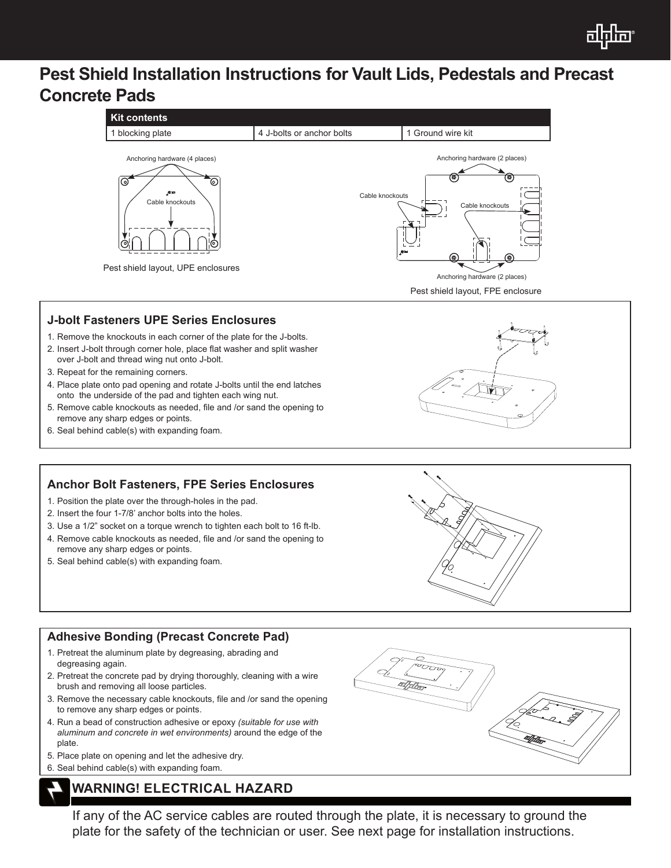

# **Pest Shield Installation Instructions for Vault Lids, Pedestals and Precast Concrete Pads**



## **J-bolt Fasteners UPE Series Enclosures**

- 1. Remove the knockouts in each corner of the plate for the J-bolts.
- 2. Insert J-bolt through corner hole, place flat washer and split washer over J-bolt and thread wing nut onto J-bolt.
- 3. Repeat for the remaining corners.
- 4. Place plate onto pad opening and rotate J-bolts until the end latches onto the underside of the pad and tighten each wing nut.
- 5. Remove cable knockouts as needed, file and /or sand the opening to remove any sharp edges or points.
- 6. Seal behind cable(s) with expanding foam.

## **Anchor Bolt Fasteners, FPE Series Enclosures**

- 1. Position the plate over the through-holes in the pad.
- 2. Insert the four 1-7/8' anchor bolts into the holes.
- 3. Use a 1/2" socket on a torque wrench to tighten each bolt to 16 ft-lb.
- 4. Remove cable knockouts as needed, file and /or sand the opening to remove any sharp edges or points.
- 5. Seal behind cable(s) with expanding foam.

## **Adhesive Bonding (Precast Concrete Pad)**

- 1. Pretreat the aluminum plate by degreasing, abrading and degreasing again.
- 2. Pretreat the concrete pad by drying thoroughly, cleaning with a wire brush and removing all loose particles.
- 3. Remove the necessary cable knockouts, file and /or sand the opening to remove any sharp edges or points.
- 4. Run a bead of construction adhesive or epoxy *(suitable for use with aluminum and concrete in wet environments)* around the edge of the plate.
- 5. Place plate on opening and let the adhesive dry.
- 6. Seal behind cable(s) with expanding foam.

## **WARNING! ELECTRICAL HAZARD**

If any of the AC service cables are routed through the plate, it is necessary to ground the plate for the safety of the technician or user. See next page for installation instructions.